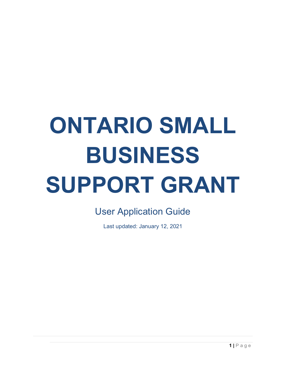# **ONTARIO SMALL BUSINESS SUPPORT GRANT**

User Application Guide

Last updated: January 12, 2021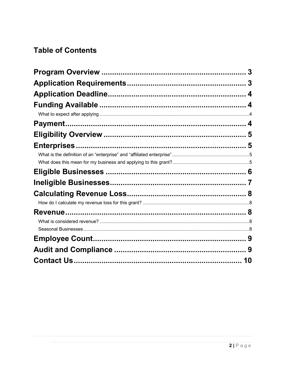#### **Table of Contents**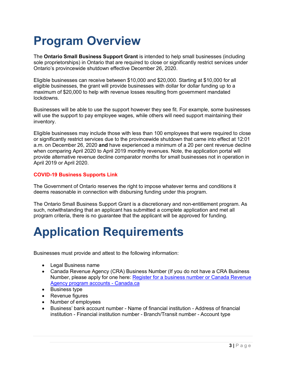### **Program Overview**

The **Ontario Small Business Support Grant** is intended to help small businesses (including sole proprietorships) in Ontario that are required to close or significantly restrict services under Ontario's provincewide shutdown effective December 26, 2020.

Eligible businesses can receive between \$10,000 and \$20,000. Starting at \$10,000 for all eligible businesses, the grant will provide businesses with dollar for dollar funding up to a maximum of \$20,000 to help with revenue losses resulting from government mandated lockdowns.

Businesses will be able to use the support however they see fit. For example, some businesses will use the support to pay employee wages, while others will need support maintaining their inventory.

Eligible businesses may include those with less than 100 employees that were required to close or significantly restrict services due to the provincewide shutdown that came into effect at 12:01 a.m. on December 26, 2020 **and** have experienced a minimum of a 20 per cent revenue decline when comparing April 2020 to April 2019 monthly revenues. Note, the application portal will provide alternative revenue decline comparator months for small businesses not in operation in April 2019 or April 2020.

#### **COVID-19 Business Supports Link**

The Government of Ontario reserves the right to impose whatever terms and conditions it deems reasonable in connection with disbursing funding under this program.

The Ontario Small Business Support Grant is a discretionary and non-entitlement program. As such, notwithstanding that an applicant has submitted a complete application and met all program criteria, there is no guarantee that the applicant will be approved for funding.

### **Application Requirements**

Businesses must provide and attest to the following information:

- Legal Business name
- Canada Revenue Agency (CRA) Business Number (If you do not have a CRA Business Number, please apply for one here: Register for a business number or Canada Revenue Agency program accounts - Canada.ca
- Business type
- Revenue figures
- Number of employees
- Business' bank account number Name of financial institution Address of financial institution - Financial institution number - Branch/Transit number - Account type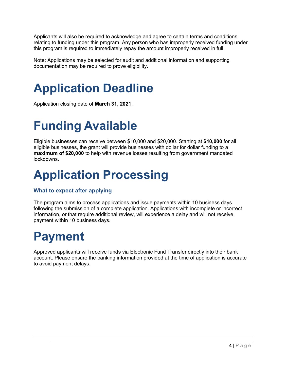Applicants will also be required to acknowledge and agree to certain terms and conditions relating to funding under this program. Any person who has improperly received funding under this program is required to immediately repay the amount improperly received in full.

Note: Applications may be selected for audit and additional information and supporting documentation may be required to prove eligibility.

### **Application Deadline**

Application closing date of **March 31, 2021**.

### **Funding Available**

Eligible businesses can receive between \$10,000 and \$20,000. Starting at **\$10,000** for all eligible businesses, the grant will provide businesses with dollar for dollar funding to a **maximum of \$20,000** to help with revenue losses resulting from government mandated lockdowns.

### **Application Processing**

#### **What to expect after applying**

The program aims to process applications and issue payments within 10 business days following the submission of a complete application. Applications with incomplete or incorrect information, or that require additional review, will experience a delay and will not receive payment within 10 business days.

#### **Payment**

Approved applicants will receive funds via Electronic Fund Transfer directly into their bank account. Please ensure the banking information provided at the time of application is accurate to avoid payment delays.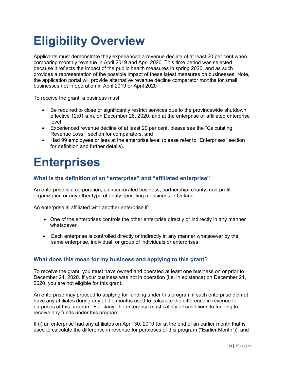# **Eligibility Overview**

Applicants must demonstrate they experienced a revenue decline of at least 20 per cent when comparing monthly revenue in April 2019 and April 2020. This time period was selected because it reflects the impact of the public health measures in spring 2020, and as such provides a representation of the possible impact of these latest measures on businesses. Note, the application portal will provide alternative revenue decline comparator months for small businesses not in operation in April 2019 or April 2020

To receive the grant, a business must:

- Be required to close or significantly restrict services due to the provincewide shutdown effective 12:01 a.m. on December 26, 2020, and at the enterprise or affiliated enterprise level
- Experienced revenue decline of at least 20 per cent, please see the "Calculating Revenue Loss " section for comparators, and
- Had 99 employees or less at the enterprise level (please refer to "Enterprises" section for definition and further details).

### **Enterprises**

#### **What is the definition of an "enterprise" and "affiliated enterprise"**

An enterprise is a corporation, unincorporated business, partnership, charity, non-profit organization or any other type of entity operating a business in Ontario.

An enterprise is affiliated with another enterprise if:

- One of the enterprises controls the other enterprise directly or indirectly in any manner whatsoever
- Each enterprise is controlled directly or indirectly in any manner whatsoever by the same enterprise, individual, or group of individuals or enterprises.

#### **What does this mean for my business and applying to this grant?**

To receive the grant, you must have owned and operated at least one business on or prior to December 24, 2020. If your business was not in operation (i.e. in existence) on December 24, 2020, you are not eligible for this grant.

An enterprise may proceed to applyng for funding under this program if such enterprise did not have any affiliates during any of the months used to calculate the difference in revenue for purposes of this program. For clariy, the enterprise must satisfy all conditions to funding to receive any funds under this program.

If (i) an enterprise had any affiliates on April 30, 2019 (or at the end of an earlier month that is used to calculate the difference in revenue for purpioses of this program ("Earlier Month")), and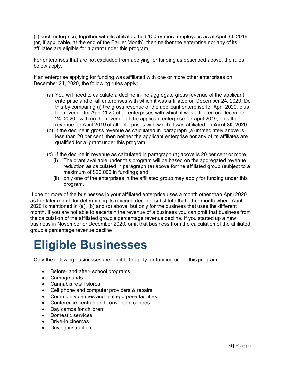(ii) such enterprise, together with its affiliates, had 100 or more employees as at April 30, 2019 (or, if applicable, at the end of the Earlier Month), then neither the enterprise nor any of its affiliates are eligible for a grant under this program.

For enterprises that are not excluded from applying for funding as described above, the rules below apply.

If an enterprise applying for funding was affiliated with one or more other enterprises on December 24, 2020, the following rules apply:

- (a) You will need to calculate a decline in the aggregate gross revenue of the applicant enterprise and of all enterprises with which it was affiliated on December 24, 2020. Do this by comparing (i) the gross revenue of the applicant enterprise for April 2020, plus the revenue for April 2020 of all enterprises with which it was affiliated on December 24, 2020, with (ii) the revenue of the applicant enterprise for April 2019, plus the revenue for April 2019 of all enterprises with which it was affiliated on **April 30, 2020**.
- (b) If the decline in gross revenue as calculated in paragraph (a) immediately above is less than 20 per cent, then neither the applicant enterprise nor any of its affiliates are qualified for a grant under this program.
- (c) If the decline in revenue as calculated in paragraph (a) above is 20 per cent or more,
	- (i) The grant available under this program will be based on the aggregated revenue reduction as calculated in paragraph (a) above for the affiliated group (subject to a maximum of \$20,000 in funding); and
	- (ii) only one of the enterprises in the affiliated group may apply for funding under this program.

If one or more of the businesses in your affiliated enterprise uses a month other than April 2020 as the later month for determining its revenue decline, substitute that other month where April 2020 is mentioned in (a), (b) and (c) above, but only for the business that uses the different month. If you are not able to ascertain the revenue of a business you can omit that business from the calculation of the affiliated group's percentage revenue decline. If you started up a new business in November or December 2020, omit that business from the calculation of the affiliated group's percentage revenue decline

### **Eligible Businesses**

Only the following businesses are eligible to apply for funding under this program:

- Before- and after- school programs
- Campgrounds
- Cannabis retail stores
- Cell phone and computer providers & repairs
- Community centres and multi-purpose facilities
- Conference centres and convention centres
- Day camps for children
- Domestic services
- Drive-in cinemas
- Driving instruction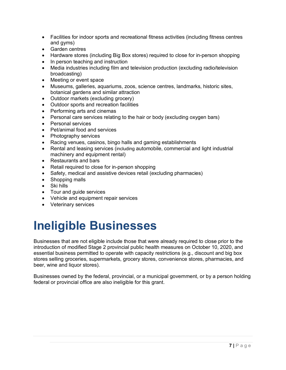- Facilities for indoor sports and recreational fitness activities (including fitness centres and gyms)
- Garden centres
- Hardware stores (including Big Box stores) required to close for in-person shopping
- In person teaching and instruction
- Media industries including film and television production (excluding radio/television broadcasting)
- Meeting or event space
- Museums, galleries, aquariums, zoos, science centres, landmarks, historic sites, botanical gardens and similar attraction
- Outdoor markets (excluding grocery)
- Outdoor sports and recreation facilities
- Performing arts and cinemas
- Personal care services relating to the hair or body (excluding oxygen bars)
- Personal services
- Pet/animal food and services
- Photography services
- Racing venues, casinos, bingo halls and gaming establishments
- Rental and leasing services (including automobile, commercial and light industrial machinery and equipment rental)
- Restaurants and bars
- Retail required to close for in-person shopping
- Safety, medical and assistive devices retail (excluding pharmacies)
- Shopping malls
- Ski hills
- Tour and guide services
- Vehicle and equipment repair services
- Veterinary services

### **Ineligible Businesses**

Businesses that are not eligible include those that were already required to close prior to the introduction of modified Stage 2 provincial public health measures on October 10, 2020, and essential business permitted to operate with capacity restrictions (e.g., discount and big box stores selling groceries, supermarkets, grocery stores, convenience stores, pharmacies, and beer, wine and liquor stores).

Businesses owned by the federal, provincial, or a municipal government, or by a person holding federal or provincial office are also ineligible for this grant.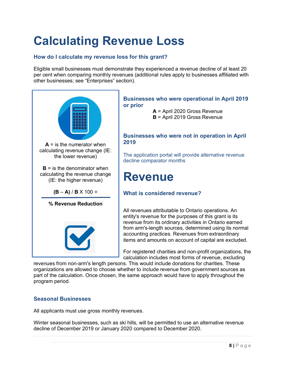# **Calculating Revenue Loss**

#### **How do I calculate my revenue loss for this grant?**

Eligible small businesses must demonstrate they experienced a revenue decline of at least 20 per cent when comparing monthly revenues (additional rules apply to businesses affiliated with other businesses; see "Enterprises" section).



#### **Businesses who were operational in April 2019 or prior**

**A** = April 2020 Gross Revenue **B** = April 2019 Gross Revenue

#### **Businesses who were not in operation in April 2019**

The application portal will provide alternative revenue decline comparator months

#### **Revenue**

#### **What is considered revenue?**

All revenues attributable to Ontario operations. An entity's revenue for the purposes of this grant is its revenue from its ordinary activities in Ontario earned from arm's-length sources, determined using its normal accounting practices. Revenues from extraordinary items and amounts on account of capital are excluded.

For registered charities and non-profit organizations, the calculation includes most forms of revenue, excluding

revenues from non-arm's length persons. This would include donations for charities. These organizations are allowed to choose whether to include revenue from government sources as part of the calculation. Once chosen, the same approach would have to apply throughout the program period.

#### **Seasonal Businesses**

All applicants must use gross monthly revenues.

Winter seasonal businesses, such as ski hills, will be permitted to use an alternative revenue decline of December 2019 or January 2020 compared to December 2020.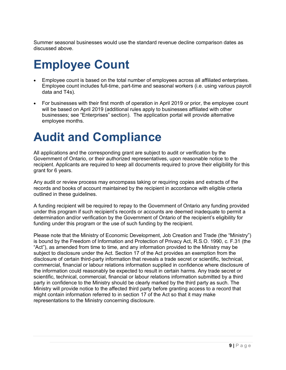Summer seasonal businesses would use the standard revenue decline comparison dates as discussed above.

### **Employee Count**

- Employee count is based on the total number of employees across all affiliated enterprises. Employee count includes full-time, part-time and seasonal workers (i.e. using various payroll data and T4s).
- For businesses with their first month of operation in April 2019 or prior, the employee count will be based on April 2019 (additional rules apply to businesses affiliated with other businesses; see "Enterprises" section). The application portal will provide alternative employee months.

#### **Audit and Compliance**

All applications and the corresponding grant are subject to audit or verification by the Government of Ontario, or their authorized representatives, upon reasonable notice to the recipient. Applicants are required to keep all documents required to prove their eligibility for this grant for 6 years.

Any audit or review process may encompass taking or requiring copies and extracts of the records and books of account maintained by the recipient in accordance with eligible criteria outlined in these guidelines.

A funding recipient will be required to repay to the Government of Ontario any funding provided under this program if such recipient's records or accounts are deemed inadequate to permit a determination and/or verification by the Government of Ontario of the recipient's eligibility for funding under this program or the use of such funding by the recipient.

Please note that the Ministry of Economic Development, Job Creation and Trade (the "Ministry") is bound by the Freedom of Information and Protection of Privacy Act, R.S.O. 1990, c. F.31 (the "Act"), as amended from time to time, and any information provided to the Ministry may be subject to disclosure under the Act. Section 17 of the Act provides an exemption from the disclosure of certain third-party information that reveals a trade secret or scientific, technical, commercial, financial or labour relations information supplied in confidence where disclosure of the information could reasonably be expected to result in certain harms. Any trade secret or scientific, technical, commercial, financial or labour relations information submitted by a third party in confidence to the Ministry should be clearly marked by the third party as such. The Ministry will provide notice to the affected third party before granting access to a record that might contain information referred to in section 17 of the Act so that it may make representations to the Ministry concerning disclosure.